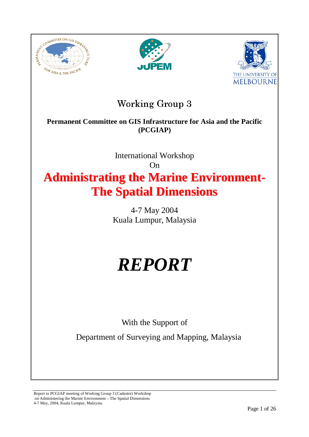





# **Working Group 3**

## **Permanent Committee on GIS Infrastructure for Asia and the Pacific (PCGIAP)**

on GIS Infrastructure fo<br>
(PCGIAP)<br>
International Workshop<br>
On<br> **USP 10 Marine I**<br>
Spatial Dimens<br>
4-7 May 2004<br>
USP 2004<br>
USP 2004<br>
USP 2007<br>
With the Support of<br>
of Surveying and Mapp<br>
Cadastre) Workshop International Workshop  $On$ **Administrating the Marine Environment-The Spatial Dimensions**

4-7 May 2004 Kuala Lumpur, Malaysia

# *REPORT*

With the Support of

Department of Surveying and Mapping, Malaysia

Report to PCGIAP meeting of Working Group 3 (Cadastre) Workshop on Administering the Marine Environment – The Spatial Dimensions 4-7 May, 2004, Kuala Lumpur, Malaysia.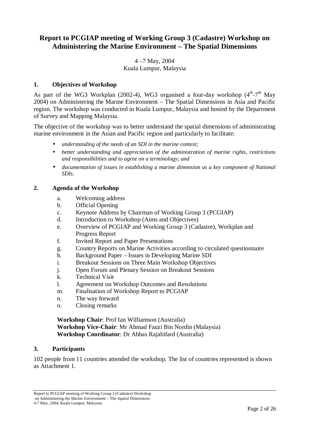## **Report to PCGIAP meeting of Working Group 3 (Cadastre) Workshop on Administering the Marine Environment – The Spatial Dimensions**

## 4 –7 May, 2004 Kuala Lumpur, Malaysia

## **1. Objectives of Workshop**

As part of the WG3 Workplan (2002-4), WG3 organised a four-day workshop  $(4<sup>th</sup>-7<sup>th</sup>$  May 2004) on Administering the Marine Environment – The Spatial Dimensions in Asia and Pacific region. The workshop was conducted in Kuala Lumpur, Malaysia and hosted by the Department of Survey and Mapping Malaysia.

The objective of the workshop was to better understand the spatial dimensions of administrating marine environment in the Asian and Pacific region and particularly to facilitate:

- *understanding of the needs of an SDI in the marine context;*
- *better understanding and appreciation of the administration of marine rights, restrictions and responsibilities and to agree on a terminology; and*
- *documentation of issues in establishing a marine dimension as a key component of National SDIs.*

## **2. Agenda of the Workshop**

- a. Welcoming address
- b. Official Opening
- c. Keynote Address by Chairman of Working Group 3 (PCGIAP)
- d. Introduction to Workshop (Aims and Objectives)
- e. Overview of PCGIAP and Working Group 3 (Cadastre), Workplan and Progress Report
- f. Invited Report and Paper Presentations
- g. Country Reports on Marine Activities according to circulated questionnaire
- h. Background Paper Issues in Developing Marine SDI
- i. Breakout Sessions on Three Main Workshop Objectives
- j. Open Forum and Plenary Session on Breakout Sessions
- k. Technical Visit
- l. Agreement on Workshop Outcomes and Resolutions
- m. Finalisation of Workshop Report to PCGIAP
- n. The way forward
- o. Closing remarks

**Workshop Chair**: Prof Ian Williamson (Australia) **Workshop Vice-Chair**: Mr Ahmad Fauzi Bin Nordin (Malaysia) **Workshop Coordinator**: Dr Abbas Rajabifard (Australia)

## **3. Participants**

102 people from 11 countries attended the workshop. The list of countries represented is shown as Attachment 1.

Report to PCGIAP meeting of Working Group 3 (Cadastre) Workshop on Administering the Marine Environment – The Spatial Dimensions 4-7 May, 2004, Kuala Lumpur, Malaysia.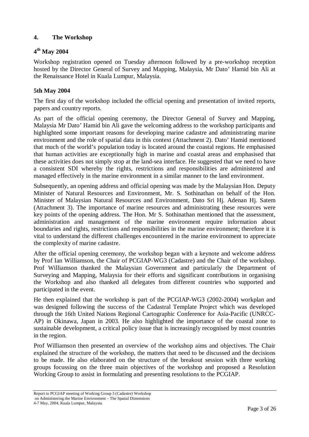## **4. The Workshop**

## **4th May 2004**

Workshop registration opened on Tuesday afternoon followed by a pre-workshop reception hosted by the Director General of Survey and Mapping, Malaysia, Mr Dato' Hamid bin Ali at the Renaissance Hotel in Kuala Lumpur, Malaysia.

## **5th May 2004**

The first day of the workshop included the official opening and presentation of invited reports, papers and country reports.

As part of the official opening ceremony, the Director General of Survey and Mapping, Malaysia Mr Dato' Hamid bin Ali gave the welcoming address to the workshop participants and highlighted some important reasons for developing marine cadastre and administrating marine environment and the role of spatial data in this context (Attachment 2). Dato' Hamid mentioned that much of the world's population today is located around the coastal regions. He emphasised that human activities are exceptionally high in marine and coastal areas and emphasised that these activities does not simply stop at the land-sea interface. He suggested that we need to have a consistent SDI whereby the rights, restrictions and responsibilities are administered and managed effectively in the marine environment in a similar manner to the land environment.

Subsequently, an opening address and official opening was made by the Malaysian Hon. Deputy Minister of Natural Resources and Environment, Mr. S. Sothinathan on behalf of the Hon. Minister of Malaysian Natural Resources and Environment, Dato Sri Hj. Adenan Hj. Satem (Attachment 3). The importance of marine resources and administrating these resources were key points of the opening address. The Hon. Mr S. Sothinathan mentioned that the assessment, administration and management of the marine environment require information about boundaries and rights, restrictions and responsibilities in the marine environment; therefore it is vital to understand the different challenges encountered in the marine environment to appreciate the complexity of marine cadastre.

After the official opening ceremony, the workshop began with a keynote and welcome address by Prof Ian Williamson, the Chair of PCGIAP-WG3 (Cadastre) and the Chair of the workshop. Prof Williamson thanked the Malaysian Government and particularly the Department of Surveying and Mapping, Malaysia for their efforts and significant contributions in organising the Workshop and also thanked all delegates from different countries who supported and participated in the event.

He then explained that the workshop is part of the PCGIAP-WG3 (2002-2004) workplan and was designed following the success of the Cadastral Template Project which was developed through the 16th United Nations Regional Cartographic Conference for Asia-Pacific (UNRCC-AP) in Okinawa, Japan in 2003. He also highlighted the importance of the coastal zone to sustainable development, a critical policy issue that is increasingly recognised by most countries in the region.

Prof Williamson then presented an overview of the workshop aims and objectives. The Chair explained the structure of the workshop, the matters that need to be discussed and the decisions to be made. He also elaborated on the structure of the breakout session with three working groups focussing on the three main objectives of the workshop and proposed a Resolution Working Group to assist in formulating and presenting resolutions to the PCGIAP.

Report to PCGIAP meeting of Working Group 3 (Cadastre) Workshop on Administering the Marine Environment – The Spatial Dimensions 4-7 May, 2004, Kuala Lumpur, Malaysia.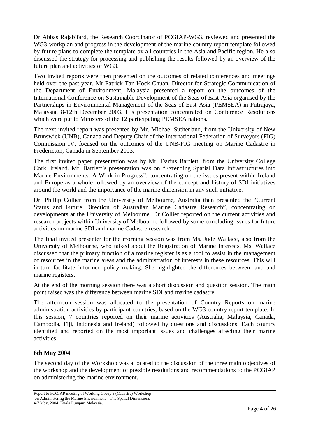Dr Abbas Rajabifard, the Research Coordinator of PCGIAP-WG3, reviewed and presented the WG3-workplan and progress in the development of the marine country report template followed by future plans to complete the template by all countries in the Asia and Pacific region. He also discussed the strategy for processing and publishing the results followed by an overview of the future plan and activities of WG3.

Two invited reports were then presented on the outcomes of related conferences and meetings held over the past year. Mr Patrick Tan Hock Chuan, Director for Strategic Communication of the Department of Environment, Malaysia presented a report on the outcomes of the International Conference on Sustainable Development of the Seas of East Asia organised by the Partnerships in Environmental Management of the Seas of East Asia (PEMSEA) in Putrajaya, Malaysia, 8-12th December 2003. His presentation concentrated on Conference Resolutions which were put to Ministers of the 12 participating PEMSEA nations.

The next invited report was presented by Mr. Michael Sutherland, from the University of New Brunswick (UNB), Canada and Deputy Chair of the International Federation of Surveyors (FIG) Commission IV, focused on the outcomes of the UNB-FIG meeting on Marine Cadastre in Fredericton, Canada in September 2003.

The first invited paper presentation was by Mr. Darius Bartlett, from the University College Cork, Ireland. Mr. Bartlett's presentation was on "Extending Spatial Data Infrastructures into Marine Environments: A Work in Progress", concentrating on the issues present within Ireland and Europe as a whole followed by an overview of the concept and history of SDI initiatives around the world and the importance of the marine dimension in any such initiative.

Dr. Phillip Collier from the University of Melbourne, Australia then presented the "Current Status and Future Direction of Australian Marine Cadastre Research", concentrating on developments at the University of Melbourne. Dr Collier reported on the current activities and research projects within University of Melbourne followed by some concluding issues for future activities on marine SDI and marine Cadastre research.

The final invited presenter for the morning session was from Ms. Jude Wallace, also from the University of Melbourne, who talked about the Registration of Marine Interests. Ms. Wallace discussed that the primary function of a marine register is as a tool to assist in the management of resources in the marine areas and the administration of interests in these resources. This will in-turn facilitate informed policy making. She highlighted the differences between land and marine registers.

At the end of the morning session there was a short discussion and question session. The main point raised was the difference between marine SDI and marine cadastre.

The afternoon session was allocated to the presentation of Country Reports on marine administration activities by participant countries, based on the WG3 country report template. In this session, 7 countries reported on their marine activities (Australia, Malaysia, Canada, Cambodia, Fiji, Indonesia and Ireland) followed by questions and discussions. Each country identified and reported on the most important issues and challenges affecting their marine activities.

## **6th May 2004**

The second day of the Workshop was allocated to the discussion of the three main objectives of the workshop and the development of possible resolutions and recommendations to the PCGIAP on administering the marine environment.

Report to PCGIAP meeting of Working Group 3 (Cadastre) Workshop on Administering the Marine Environment – The Spatial Dimensions 4-7 May, 2004, Kuala Lumpur, Malaysia.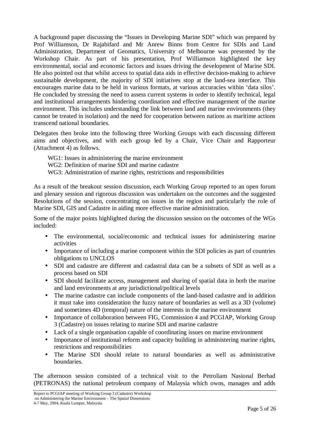A background paper discussing the "Issues in Developing Marine SDI" which was prepared by Prof Williamson, Dr Rajabifard and Mr Anrew Binns from Centre for SDIs and Land Administration, Department of Geomatics, University of Melbourne was presented by the Workshop Chair. As part of his presentation, Prof Williamson highlighted the key environmental, social and economic factors and issues driving the development of Marine SDI. He also pointed out that whilst access to spatial data aids in effective decision-making to achieve sustainable development, the majority of SDI initiatives stop at the land-sea interface. This encourages marine data to be held in various formats, at various accuracies within 'data silos'. He concluded by stressing the need to assess current systems in order to identify technical, legal and institutional arrangements hindering coordination and effective management of the marine environment. This includes understanding the link between land and marine environments (they cannot be treated in isolation) and the need for cooperation between nations as maritime actions transcend national boundaries.

Delegates then broke into the following three Working Groups with each discussing different aims and objectives, and with each group led by a Chair, Vice Chair and Rapporteur (Attachment 4) as follows.

- WG1: Issues in administering the marine environment
- WG2: Definition of marine SDI and marine cadastre
- WG3: Administration of marine rights, restrictions and responsibilities

As a result of the breakout session discussion, each Working Group reported to an open forum and plenary session and rigorous discussion was undertaken on the outcomes and the suggested Resolutions of the session, concentrating on issues in the region and particularly the role of Marine SDI, GIS and Cadastre in aiding more effective marine administration.

Some of the major points highlighted during the discussion session on the outcomes of the WGs included:

- The environmental, social/economic and technical issues for administering marine activities
- Importance of including a marine component within the SDI policies as part of countries obligations to UNCLOS
- SDI and cadastre are different and cadastral data can be a subsets of SDI as well as a process based on SDI
- SDI should facilitate access, management and sharing of spatial data in both the marine and land environments at any jurisdictional/political levels
- The marine cadastre can include components of the land-based cadastre and in addition it must take into consideration the fuzzy nature of boundaries as well as a 3D (volume) and sometimes 4D (temporal) nature of the interests in the marine environment
- Importance of collaboration between FIG, Commission 4 and PCGIAP, Working Group 3 (Cadastre) on issues relating to marine SDI and marine cadastre
- Lack of a single organisation capable of coordinating issues on marine environment
- Importance of institutional reform and capacity building in administering marine rights, restrictions and responsibilities
- The Marine SDI should relate to natural boundaries as well as administrative boundaries.

The afternoon session consisted of a technical visit to the Petroliam Nasional Berhad (PETRONAS) the national petroleum company of Malaysia which owns, manages and adds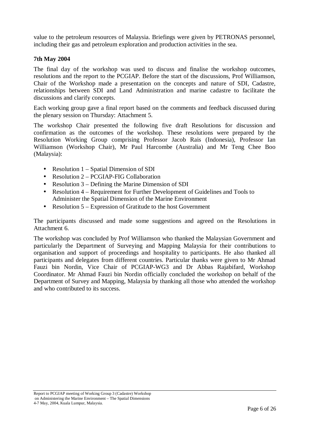value to the petroleum resources of Malaysia. Briefings were given by PETRONAS personnel, including their gas and petroleum exploration and production activities in the sea.

#### **7th May 2004**

The final day of the workshop was used to discuss and finalise the workshop outcomes, resolutions and the report to the PCGIAP. Before the start of the discussions, Prof Williamson, Chair of the Workshop made a presentation on the concepts and nature of SDI, Cadastre, relationships between SDI and Land Administration and marine cadastre to facilitate the discussions and clarify concepts.

Each working group gave a final report based on the comments and feedback discussed during the plenary session on Thursday: Attachment 5.

The workshop Chair presented the following five draft Resolutions for discussion and confirmation as the outcomes of the workshop. These resolutions were prepared by the Resolution Working Group comprising Professor Jacob Rais (Indonesia), Professor Ian Williamson (Workshop Chair), Mr Paul Harcombe (Australia) and Mr Teng Chee Boo (Malaysia):

- Resolution 1 Spatial Dimension of SDI
- Resolution 2 PCGIAP-FIG Collaboration
- Resolution 3 Defining the Marine Dimension of SDI
- Resolution 4 Requirement for Further Development of Guidelines and Tools to Administer the Spatial Dimension of the Marine Environment
- Resolution 5 Expression of Gratitude to the host Government

The participants discussed and made some suggestions and agreed on the Resolutions in Attachment 6.

The workshop was concluded by Prof Williamson who thanked the Malaysian Government and particularly the Department of Surveying and Mapping Malaysia for their contributions to organisation and support of proceedings and hospitality to participants. He also thanked all participants and delegates from different countries. Particular thanks were given to Mr Ahmad Fauzi bin Nordin, Vice Chair of PCGIAP-WG3 and Dr Abbas Rajabifard, Workshop Coordinator. Mr Ahmad Fauzi bin Nordin officially concluded the workshop on behalf of the Department of Survey and Mapping, Malaysia by thanking all those who attended the workshop and who contributed to its success.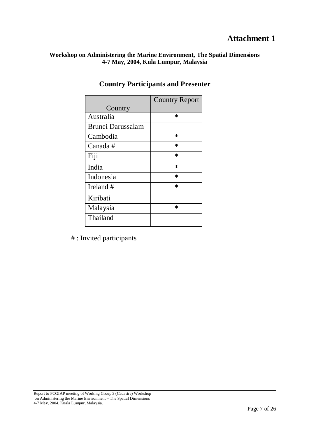## **Workshop on Administering the Marine Environment, The Spatial Dimensions 4-7 May, 2004, Kula Lumpur, Malaysia**

|                   | <b>Country Report</b> |
|-------------------|-----------------------|
| Country           |                       |
| Australia         | ∗                     |
| Brunei Darussalam |                       |
| Cambodia          | ∗                     |
| Canada #          | $\ast$                |
| Fiji              | ∗                     |
| India             | ∗                     |
| Indonesia         | $\ast$                |
| Ireland #         | ∗                     |
| Kiribati          |                       |
| Malaysia          | ∗                     |
| Thailand          |                       |

## **Country Participants and Presenter**

# : Invited participants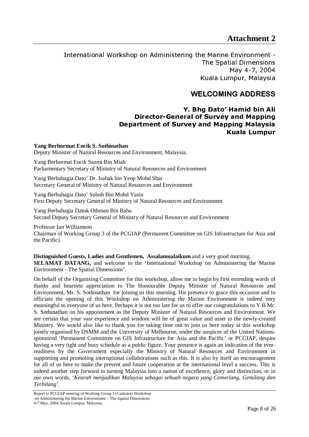## **Attachment 2**

International Workshop on Administering the Marine Environment - The Spatial Dimensions May 4-7, 2004 Kuala Lumpur, Malaysia

## WELCOMING ADDRESS

## Y. Bhg Dato' Hamid bin Ali Director-General of Survey and Mapping Department of Survey and Mapping Malaysia Kuala Lumpur

**Yang Berhormat Encik S. Sothinathan** Deputy Minister of Natural Resources and Environment, Malaysia.

Yang Berhormat Encik Sazmi Bin Miah Parliamentary Secretary of Ministry of Natural Resources and Environment

Yang Berbahagia Dato' Dr. Isahak bin Yeop Mohd Shar Secretary General of Ministry of Natural Resources and Environment

Yang Berbahagia Dato' Suboh Bin Mohd Yasin First Deputy Secretary General of Ministry of Natural Resources and Environment

Yang Berbahagia Datuk Othman Bin Baba Second Deputy Secretary General of Ministry of Natural Resources and Environment

Professor Ian Williamson Chairman of Working Group 3 of the PCGIAP (Permanent Committee on GIS Infrastructure for Asia and the Pacific)

**Distinguished Guests, Ladies and Gentlemen, Assalamualaikum** and a very good morning.

**SELAMAT DATANG,** and welcome to the 'International Workshop on Administering the Marine Environment - The Spatial Dimensions'.

On behalf of the Organising Committee for this workshop, allow me to begin by first extending words of thanks and heartiest appreciation to The Honourable Deputy Minister of Natural Resources and Environment, Mr. S. Sothinathan for joining us this morning. His presence to grace this occasion and to officiate the opening of this Workshop on Administering the Marine Environment is indeed very meaningful to everyone of us here. Perhaps it is not too late for us to offer our congratulations to Y B Mr. S. Sothinathan on his appointment as the Deputy Minister of Natural Resources and Environment. We are certain that your vast experience and wisdom will be of great value and asset to the newly-created Ministry. We would also like to thank you for taking time out to join us here today at this workshop jointly organised by DSMM and the University of Melbourne, under the auspices of the United Nationssponsored 'Permanent Committee on GIS Infrastructure for Asia and the Pacific' or PCGIAP, despite having a very tight and busy schedule as a public figure. Your presence is again an indication of the everreadiness by the Government especially the Ministry of Natural Resources and Environment in supporting and promoting international collaborations such as this. It is also by itself an encouragement for all of us here to make the present and future cooperation at the international level a success. This is indeed another step forward in turning Malaysia into a nation of excellence, glory and distinction, or in our own words, '*Kearah menjadikan Malaysia sebagai sebuah negara yang Cemerlang, Gemilang dan Terbilang'*.

Report to PCGIAP meeting of Working Group 3 (Cadastre) Workshop on Administering the Marine Environment – The Spatial Dimensions 4-7 May, 2004, Kuala Lumpur, Malaysia.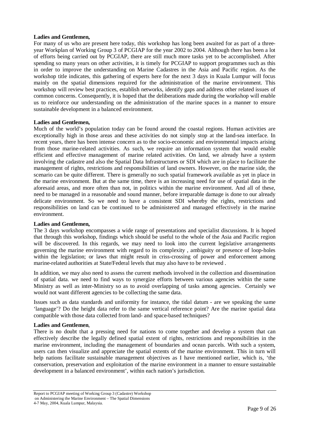#### **Ladies and Gentlemen,**

For many of us who are present here today, this workshop has long been awaited for as part of a threeyear Workplan of Working Group 3 of PCGIAP for the year 2002 to 2004. Although there has been a lot of efforts being carried out by PCGIAP, there are still much more tasks yet to be accomplished. After spending so many years on other activities, it is timely for PCGIAP to support programmes such as this in order to improve the understanding on Marine Cadastres in the Asia and Pacific region. As the workshop title indicates, this gathering of experts here for the next 3 days in Kuala Lumpur will focus mainly on the spatial dimensions required for the administration of the marine environment. This workshop will review best practices, establish networks, identify gaps and address other related issues of common concerns. Consequently, it is hoped that the deliberations made during the workshop will enable us to reinforce our understanding on the administration of the marine spaces in a manner to ensure sustainable development in a balanced environment.

#### **Ladies and Gentlemen,**

Much of the world's population today can be found around the coastal regions. Human activities are exceptionally high in those areas and these activities do not simply stop at the land-sea interface. In recent years, there has been intense concern as to the socio-economic and environmental impacts arising from those marine-related activities. As such, we require an information system that would enable efficient and effective management of marine related activities. On land, we already have a system involving the cadastre and also the Spatial Data Infrastructures or SDI which are in place to facilitate the management of rights, restrictions and responsibilities of land owners. However, on the marine side, the scenario can be quite different. There is generally no such spatial framework available as yet in place in the marine environment. But at the same time, there is an increasing need for use of spatial data in the aforesaid areas, and more often than not, in politics within the marine environment. And all of these, need to be managed in a reasonable and sound manner, before irreparable damage is done to our already delicate environment. So we need to have a consistent SDI whereby the rights, restrictions and responsibilities on land can be continued to be administered and managed effectively in the marine environment.

#### **Ladies and Gentlemen,**

The 3 days workshop encompasses a wide range of presentations and specialist discussions. It is hoped that through this workshop, findings which should be useful to the whole of the Asia and Pacific region will be discovered. In this regards, we may need to look into the current legislative arrangements governing the marine environment with regard to its complexity , ambiguity or presence of loop-holes within the legislation; or laws that might result in criss-crossing of power and enforcement among marine-related authorities at State/Federal levels that may also have to be reviewed .

In addition, we may also need to assess the current methods involved in the collection and dissemination of spatial data. we need to find ways to synergize efforts between various agencies within the same Ministry as well as inter-Ministry so as to avoid overlapping of tasks among agencies. Certainly we would not want different agencies to be collecting the same data.

Issues such as data standards and uniformity for instance, the tidal datum - are we speaking the same 'language'? Do the height data refer to the same vertical reference point? Are the marine spatial data compatible with those data collected from land- and space-based techniques?

#### **Ladies and Gentlemen**,

There is no doubt that a pressing need for nations to come together and develop a system that can effectively describe the legally defined spatial extent of rights, restrictions and responsibilities in the marine environment, including the management of boundaries and ocean parcels. With such a system, users can then visualize and appreciate the spatial extents of the marine environment. This in turn will help nations facilitate sustainable management objectives as I have mentioned earlier, which is, 'the conservation, preservation and exploitation of the marine environment in a manner to ensure sustainable development in a balanced environment', within each nation's jurisdiction.

Report to PCGIAP meeting of Working Group 3 (Cadastre) Workshop on Administering the Marine Environment – The Spatial Dimensions 4-7 May, 2004, Kuala Lumpur, Malaysia.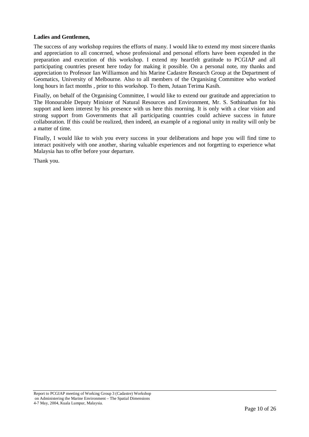#### **Ladies and Gentlemen,**

The success of any workshop requires the efforts of many. I would like to extend my most sincere thanks and appreciation to all concerned, whose professional and personal efforts have been expended in the preparation and execution of this workshop. I extend my heartfelt gratitude to PCGIAP and all participating countries present here today for making it possible. On a personal note, my thanks and appreciation to Professor Ian Williamson and his Marine Cadastre Research Group at the Department of Geomatics, University of Melbourne. Also to all members of the Organising Committee who worked long hours in fact months , prior to this workshop. To them, Jutaan Terima Kasih.

Finally, on behalf of the Organising Committee, I would like to extend our gratitude and appreciation to The Honourable Deputy Minister of Natural Resources and Environment, Mr. S. Sothinathan for his support and keen interest by his presence with us here this morning. It is only with a clear vision and strong support from Governments that all participating countries could achieve success in future collaboration. If this could be realized, then indeed, an example of a regional unity in reality will only be a matter of time.

Finally, I would like to wish you every success in your deliberations and hope you will find time to interact positively with one another, sharing valuable experiences and not forgetting to experience what Malaysia has to offer before your departure.

Thank you.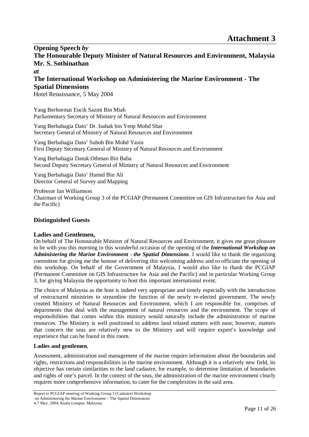**Opening Speech** *by*  **The Honourable Deputy Minister of Natural Resources and Environment, Malaysia Mr. S. Sothinathan**  *at* 

## **The International Workshop on Administering the Marine Environment - The Spatial Dimensions**

Hotel Renaissance, 5 May 2004

Yang Berhormat Encik Sazmi Bin Miah Parliamentary Secretary of Ministry of Natural Resources and Environment

Yang Berbahagia Dato' Dr. Isahak bin Yeop Mohd Shar Secretary General of Ministry of Natural Resources and Environment

Yang Berbahagia Dato' Suboh Bin Mohd Yasin First Deputy Secretary General of Ministry of Natural Resources and Environment

Yang Berbahagia Datuk Othman Bin Baba Second Deputy Secretary General of Ministry of Natural Resources and Environment

Yang Berbahagia Dato' Hamid Bin Ali Director General of Survey and Mapping

Professor Ian Williamson Chairman of Working Group 3 of the PCGIAP (Permanent Committee on GIS Infrastructure for Asia and the Pacific)

## **Distinguished Guests**

## **Ladies and Gentlemen,**

On behalf of The Honourable Minister of Natural Resources and Environment, it gives me great pleasure to be with you this morning in this wonderful occasion of the opening of the *International Workshop on Administering the Marine Environment - the Spatial Dimensions*. I would like to thank the organising committee for giving me the honour of delivering this welcoming address and to officiate the opening of this workshop. On behalf of the Government of Malaysia, I would also like to thank the PCGIAP (Permanent Committee on GIS Infrastructure for Asia and the Pacific) and in particular Working Group 3, for giving Malaysia the opportunity to host this important international event.

The choice of Malaysia as the host is indeed very appropriate and timely especially with the introduction of restructured ministries to streamline the function of the newly re-elected government. The newly created Ministry of Natural Resources and Environment, which I am responsible for, comprises of departments that deal with the management of natural resources and the environment. The scope of responsibilities that comes within this ministry would naturally include the administration of marine resources. The Ministry is well positioned to address land related matters with ease; however, matters that concern the seas are relatively new to the Ministry and will require expert's knowledge and experience that can be found in this room.

## **Ladies and gentlemen**,

Assessment, administration and management of the marine require information about the boundaries and rights, restrictions and responsibilities in the marine environment. Although it is a relatively new field, its objective has certain similarities to the land cadastre, for example, to determine limitation of boundaries and rights of one's parcel. In the context of the seas, the administration of the marine environment clearly requires more comprehensive information, to cater for the complexities in the said area.

Report to PCGIAP meeting of Working Group 3 (Cadastre) Workshop on Administering the Marine Environment – The Spatial Dimensions 4-7 May, 2004, Kuala Lumpur, Malaysia.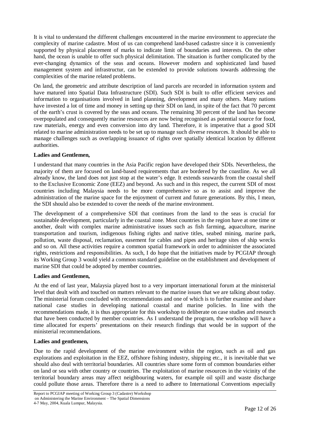It is vital to understand the different challenges encountered in the marine environment to appreciate the complexity of marine cadastre. Most of us can comprehend land-based cadastre since it is conveniently supported by physical placement of marks to indicate limit of boundaries and interests. On the other hand, the ocean is unable to offer such physical delimitation. The situation is further complicated by the ever-changing dynamics of the seas and oceans. However modern and sophisticated land based management system and infrastructur, can be extended to provide solutions towards addressing the complexities of the marine related problems.

On land, the geometric and attribute description of land parcels are recorded in information system and have matured into Spatial Data Infrastructure (SDI). Such SDI is built to offer efficient services and information to organisations involved in land planning, development and many others. Many nations have invested a lot of time and money in setting up their SDI on land, in spite of the fact that 70 percent of the earth's crust is covered by the seas and oceans. The remaining 30 percent of the land has become overpopulated and consequently marine resources are now being recognised as potential source for food, raw materials, energy and even conversion into dry land. Therefore, it is imperative that a good SDI related to marine administration needs to be set up to manage such diverse resources. It should be able to manage challenges such as overlapping issuance of rights over spatially identical location by different authorities.

#### **Ladies and Gentlemen,**

I understand that many countries in the Asia Pacific region have developed their SDIs. Nevertheless, the majority of them are focused on land-based requirements that are bordered by the coastline. As we all already know, the land does not just stop at the water's edge. It extends seawards from the coastal shelf to the Exclusive Economic Zone (EEZ) and beyond. As such and in this respect, the current SDI of most countries including Malaysia needs to be more comprehensive so as to assist and improve the administration of the marine space for the enjoyment of current and future generations. By this, I mean, the SDI should also be extended to cover the needs of the marine environment.

The development of a comprehensive SDI that continues from the land to the seas is crucial for sustainable development, particularly in the coastal zone. Most countries in the region have at one time or another, dealt with complex marine administrative issues such as fish farming, aquaculture, marine transportation and tourism, indigenous fishing rights and native titles, seabed mining, marine park, pollution, waste disposal, reclamation, easement for cables and pipes and heritage sites of ship wrecks and so on. All these activities require a common spatial framework in order to administer the associated rights, restrictions and responsibilities. As such, I do hope that the initiatives made by PCGIAP through its Working Group 3 would yield a common standard guideline on the establishment and development of marine SDI that could be adopted by member countries.

#### **Ladies and Gentlemen,**

At the end of last year, Malaysia played host to a very important international forum at the ministerial level that dealt with and touched on matters relevant to the marine issues that we are talking about today. The ministerial forum concluded with recommendations and one of which is to further examine and share national case studies in developing national coastal and marine policies. In line with the recommendations made, it is thus appropriate for this workshop to deliberate on case studies and research that have been conducted by member countries. As I understand the program, the workshop will have a time allocated for experts' presentations on their research findings that would be in support of the ministerial recommendations.

## **Ladies and gentlemen,**

Due to the rapid development of the marine environment within the region, such as oil and gas explorations and exploitation in the EEZ, offshore fishing industry, shipping etc., it is inevitable that we should also deal with territorial boundaries. All countries share some form of common boundaries either on land or sea with other country or countries. The exploitation of marine resources in the vicinity of the territorial boundary areas may affect neighbouring waters, for example oil spill and waste discharge could pollute those areas. Therefore there is a need to adhere to International Conventions especially

Report to PCGIAP meeting of Working Group 3 (Cadastre) Workshop on Administering the Marine Environment – The Spatial Dimensions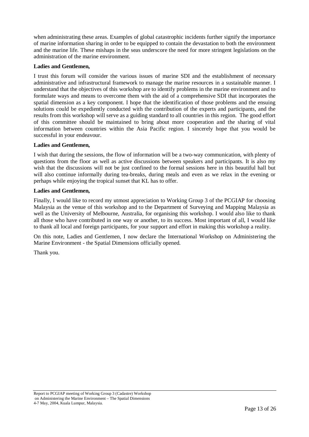when administrating these areas. Examples of global catastrophic incidents further signify the importance of marine information sharing in order to be equipped to contain the devastation to both the environment and the marine life. These mishaps in the seas underscore the need for more stringent legislations on the administration of the marine environment.

#### **Ladies and Gentlemen,**

I trust this forum will consider the various issues of marine SDI and the establishment of necessary administrative and infrastructural framework to manage the marine resources in a sustainable manner. I understand that the objectives of this workshop are to identify problems in the marine environment and to formulate ways and means to overcome them with the aid of a comprehensive SDI that incorporates the spatial dimension as a key component. I hope that the identification of those problems and the ensuing solutions could be expediently conducted with the contribution of the experts and participants, and the results from this workshop will serve as a guiding standard to all countries in this region. The good effort of this committee should be maintained to bring about more cooperation and the sharing of vital information between countries within the Asia Pacific region. I sincerely hope that you would be successful in your endeavour.

#### **Ladies and Gentlemen,**

I wish that during the sessions, the flow of information will be a two-way communication, with plenty of questions from the floor as well as active discussions between speakers and participants. It is also my wish that the discussions will not be just confined to the formal sessions here in this beautiful hall but will also continue informally during tea-breaks, during meals and even as we relax in the evening or perhaps while enjoying the tropical sunset that KL has to offer.

#### **Ladies and Gentlemen,**

Finally, I would like to record my utmost appreciation to Working Group 3 of the PCGIAP for choosing Malaysia as the venue of this workshop and to the Department of Surveying and Mapping Malaysia as well as the University of Melbourne, Australia, for organising this workshop. I would also like to thank all those who have contributed in one way or another, to its success. Most important of all, I would like to thank all local and foreign participants, for your support and effort in making this workshop a reality.

On this note, Ladies and Gentlemen, I now declare the International Workshop on Administering the Marine Environment - the Spatial Dimensions officially opened.

Thank you.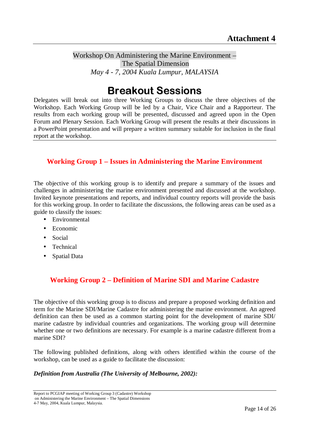Workshop On Administering the Marine Environment – The Spatial Dimension *May 4 - 7, 2004 Kuala Lumpur, MALAYSIA* 

## **Breakout Sessions**

Delegates will break out into three Working Groups to discuss the three objectives of the Workshop. Each Working Group will be led by a Chair, Vice Chair and a Rapporteur. The results from each working group will be presented, discussed and agreed upon in the Open Forum and Plenary Session. Each Working Group will present the results at their discussions in a PowerPoint presentation and will prepare a written summary suitable for inclusion in the final report at the workshop.

## **Working Group 1 – Issues in Administering the Marine Environment**

The objective of this working group is to identify and prepare a summary of the issues and challenges in administering the marine environment presented and discussed at the workshop. Invited keynote presentations and reports, and individual country reports will provide the basis for this working group. In order to facilitate the discussions, the following areas can be used as a guide to classify the issues:

- Environmental
- Economic
- Social
- Technical
- Spatial Data

## **Working Group 2 – Definition of Marine SDI and Marine Cadastre**

The objective of this working group is to discuss and prepare a proposed working definition and term for the Marine SDI/Marine Cadastre for administering the marine environment. An agreed definition can then be used as a common starting point for the development of marine SDI/ marine cadastre by individual countries and organizations. The working group will determine whether one or two definitions are necessary. For example is a marine cadastre different from a marine SDI?

The following published definitions, along with others identified within the course of the workshop, can be used as a guide to facilitate the discussion:

## *Definition from Australia (The University of Melbourne, 2002):*

Report to PCGIAP meeting of Working Group 3 (Cadastre) Workshop on Administering the Marine Environment – The Spatial Dimensions 4-7 May, 2004, Kuala Lumpur, Malaysia.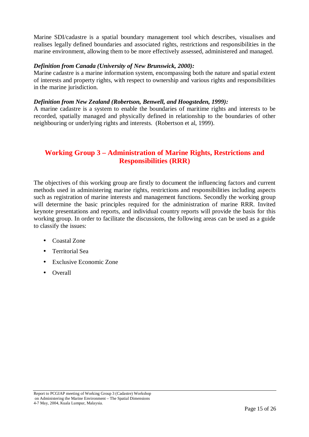Marine SDI/cadastre is a spatial boundary management tool which describes, visualises and realises legally defined boundaries and associated rights, restrictions and responsibilities in the marine environment, allowing them to be more effectively assessed, administered and managed.

## *Definition from Canada (University of New Brunswick, 2000):*

Marine cadastre is a marine information system, encompassing both the nature and spatial extent of interests and property rights, with respect to ownership and various rights and responsibilities in the marine jurisdiction.

#### *Definition from New Zealand (Robertson, Benwell, and Hoogsteden, 1999):*

A marine cadastre is a system to enable the boundaries of maritime rights and interests to be recorded, spatially managed and physically defined in relationship to the boundaries of other neighbouring or underlying rights and interests. (Robertson et al, 1999).

## **Working Group 3 – Administration of Marine Rights, Restrictions and Responsibilities (RRR)**

The objectives of this working group are firstly to document the influencing factors and current methods used in administering marine rights, restrictions and responsibilities including aspects such as registration of marine interests and management functions. Secondly the working group will determine the basic principles required for the administration of marine RRR. Invited keynote presentations and reports, and individual country reports will provide the basis for this working group. In order to facilitate the discussions, the following areas can be used as a guide to classify the issues:

- Coastal Zone
- Territorial Sea
- **Exclusive Economic Zone**
- Overall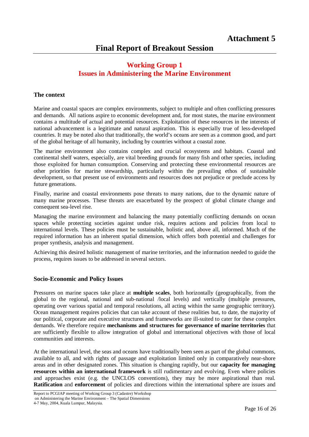## **Working Group 1 Issues in Administering the Marine Environment**

## **The context**

Marine and coastal spaces are complex environments, subject to multiple and often conflicting pressures and demands. All nations aspire to economic development and, for most states, the marine environment contains a multitude of actual and potential resources. Exploitation of these resources in the interests of national advancement is a legitimate and natural aspiration. This is especially true of less-developed countries. It may be noted also that traditionally, the world's oceans are seen as a common good, and part of the global heritage of all humanity, including by countries without a coastal zone.

The marine environment also contains complex and crucial ecosystems and habitats. Coastal and continental shelf waters, especially, are vital breeding grounds for many fish and other species, including those exploited for human consumption. Conserving and protecting these environmental resources are other priorities for marine stewardship, particularly within the prevailing ethos of sustainable development, so that present use of environments and resources does not prejudice or preclude access by future generations.

Finally, marine and coastal environments pose threats to many nations, due to the dynamic nature of many marine processes. These threats are exacerbated by the prospect of global climate change and consequent sea-level rise.

Managing the marine environment and balancing the many potentially conflicting demands on ocean spaces while protecting societies against undue risk, requires actions and policies from local to international levels. These policies must be sustainable, holistic and, above all, informed. Much of the required information has an inherent spatial dimension, which offers both potential and challenges for proper synthesis, analysis and management.

Achieving this desired holistic management of marine territories, and the information needed to guide the process, requires issues to be addressed in several sectors.

## **Socio-Economic and Policy Issues**

Pressures on marine spaces take place at **multiple scales**, both horizontally (geographically, from the global to the regional, national and sub-national /local levels) and vertically (multiple pressures, operating over various spatial and temporal resolutions, all acting within the same geographic territory). Ocean management requires policies that can take account of these realities but, to date, the majority of our political, corporate and executive structures and frameworks are ill-suited to cater for these complex demands. We therefore require **mechanisms and structures for governance of marine territories** that are sufficiently flexible to allow integration of global and international objectives with those of local communities and interests.

At the international level, the seas and oceans have traditionally been seen as part of the global commons, available to all, and with rights of passage and exploitation limited only in comparatively near-shore areas and in other designated zones. This situation is changing rapidly, but our **capacity for managing resources within an international framework** is still rudimentary and evolving. Even where policies and approaches exist (e.g. the UNCLOS conventions), they may be more aspirational than real. **Ratification** and **enforcement** of policies and directions within the international sphere are issues and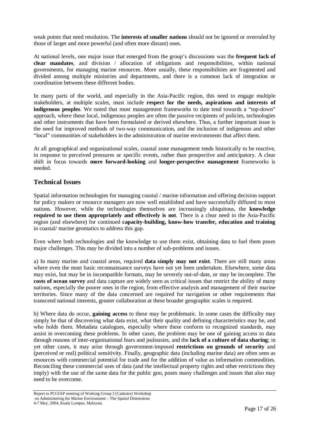weak points that need resolution. The **interests of smaller nations** should not be ignored or overruled by those of larger and more powerful (and often more distant) ones.

At national levels, one major issue that emerged from the group's discussions was the **frequent lack of clear mandates**, and division / allocation of obligations and responsibilities, within national governments, for managing marine resources. More usually, these responsibilities are fragmented and divided among multiple ministries and departments, and there is a common lack of integration or coordination between these different bodies.

In many parts of the world, and especially in the Asia-Pacific region, this need to engage multiple stakeholders, at multiple scales, must include **respect for the needs, aspirations and interests of indigenous peoples**. We noted that most management frameworks to date tend towards a "top-down" approach, where these local, indigenous peoples are often the passive recipients of policies, technologies and other instruments that have been formulated or derived elsewhere. Thus, a further important issue is the need for improved methods of two-way communication, and the inclusion of indigenous and other "local" communities of stakeholders in the administration of marine environments that affect them.

At all geographical and organizational scales, coastal zone management tends historically to be reactive, in response to perceived pressures or specific events, rather than prospective and anticipatory. A clear shift in focus towards **more forward-looking** and **longer-perspective management** frameworks is needed.

## **Technical Issues**

Spatial information technologies for managing coastal / marine information and offering decision support for policy makers or resource managers are now well established and have successfully diffused to most nations. However, while the technologies themselves are increasingly ubiquitous, the **knowledge required to use them appropriately and effectively is not**. There is a clear need in the Asia-Pacific region (and elsewhere) for continued **capacity-building, know-how transfer, education and training** in coastal/ marine geomatics to address this gap.

Even where both technologies and the knowledge to use them exist, obtaining data to fuel them poses major challenges. This may be divided into a number of sub-problems and issues.

a) In many marine and coastal areas, required **data simply may not exist**. There are still many areas where even the most basic reconnaissance surveys have not yet been undertaken. Elsewhere, some data may exist, but may be in incompatible formats, may be severely out-of-date, or may be incomplete. The **costs of ocean survey** and data capture are widely seen as critical issues that restrict the ability of many nations, especially the poorer ones in the region, from effective analysis and management of their marine territories. Since many of the data concerned are required for navigation or other requirements that transcend national interests, greater collaboration at these broader geographic scales is required.

b) Where data do occur, **gaining access** to these may be problematic. In some cases the difficulty may simply be that of discovering what data exist, what their quality and defining characteristics may be, and who holds them. Metadata catalogues, especially where these conform to recognized standards, may assist in overcoming these problems. In other cases, the problem may be one of gaining access to data through reasons of inter-organisational fears and jealousies, and the **lack of a culture of data sharing**; in yet other cases, it may arise through government-imposed **restrictions on grounds of security** and (perceived or real) political sensitivity. Finally, geographic data (including marine data) are often seen as resources with commercial potential for trade and for the addition of value as information commodities. Reconciling these commercial uses of data (and the intellectual property rights and other restrictions they imply) with the use of the same data for the public goo, poses many challenges and issues that also may need to be overcome.

Report to PCGIAP meeting of Working Group 3 (Cadastre) Workshop on Administering the Marine Environment – The Spatial Dimensions 4-7 May, 2004, Kuala Lumpur, Malaysia.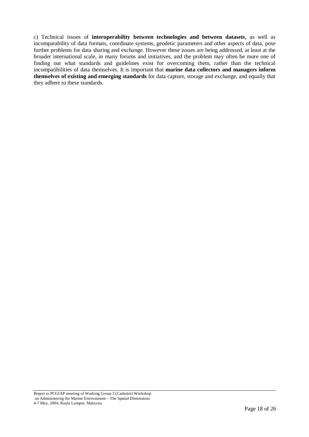c) Technical issues of **interoperability between technologies and between datasets**, as well as incompatability of data formats, coordinate systems, geodetic parameters and other aspects of data, pose further problems for data sharing and exchange. However these issues are being addressed, at least at the broader international scale, in many forums and initiatives, and the problem may often be more one of finding out what standards and guidelines exist for overcoming them, rather than the technical incompatibilities of data themselves. It is important that **marine data collectors and managers inform themselves of existing and emerging standards** for data capture, storage and exchange, and equally that they adhere to these standards.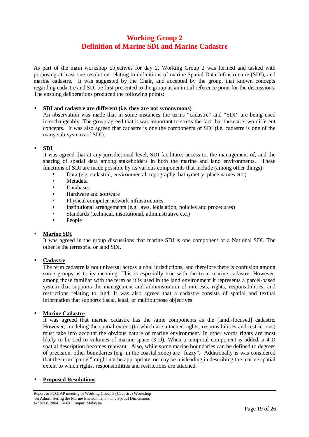## **Working Group 2 Definition of Marine SDI and Marine Cadastre**

As part of the main workshop objectives for day 2, Working Group 2 was formed and tasked with proposing at least one resolution relating to definitions of marine Spatial Data Infrastructure (SDI), and marine cadastre. It was suggested by the Chair, and accepted by the group, that known concepts regarding cadastre and SDI be first presented to the group as an initial reference point for the discussions. The ensuing deliberations produced the following points:

#### • **SDI and cadastre are different (i.e. they are not synonymous)**

An observation was made that in some instances the terms "cadastre" and "SDI" are being used interchangeably. The group agreed that it was important to stress the fact that these are two different concepts. It was also agreed that cadastre is one the components of SDI (i.e. cadastre is one of the many sub-systems of SDI).

#### • **SDI**

It was agreed that at any jurisdictional level, SDI facilitates access to, the management of, and the sharing of spatial data among stakeholders in both the marine and land environments. These functions of SDI are made possible by its various components that include (among other things):

- Data (e.g. cadastral, environmental, topography, bathymetry, place names etc.)<br>Metadata
- **Metadata**<br>**Metabases**
- Databases
- $\blacksquare$  Hardware and software
- Physical computer network infrastructures
- Institutional arrangements (e.g. laws, legislation, policies and procedures)<br>Standards (technical institutional administrative etc.)
- Standards (technical, institutional, administrative etc.)<br>People
- People

#### • **Marine SDI**

It was agreed in the group discussions that marine SDI is one component of a National SDI. The other is the terrestrial or land SDI.

## • **Cadastre**

The term cadastre is not universal across global jurisdictions, and therefore there is confusion among some groups as to its meaning. This is especially true with the term marine cadastre. However, among those familiar with the term as it is used in the land environment it represents a parcel-based system that supports the management and administration of interests, rights, responsibilities, and restrictions relating to land. It was also agreed that a cadastre consists of spatial and textual information that supports fiscal, legal, or multipurpose objectives.

#### **Marine Cadastre**

It was agreed that marine cadastre has the same components as the [landl-focused] cadastre. However, modeling the spatial extent (to which are attached rights, responsibilities and restrictions) must take into account the obvious nature of marine environment. In other words rights are most likely to be tied to volumes of marine space (3-D). When a temporal component is added, a 4-D spatial description becomes relevant. Also, while some marine boundaries can be defined to degrees of precision, other boundaries (e.g. in the coastal zone) are "fuzzy". Additionally is was considered that the term "parcel" might not be appropriate, or may be misleading in describing the marine spatial extent to which rights, responsibilities and restrictions are attached.

#### • **Proposed Resolutions**

Report to PCGIAP meeting of Working Group 3 (Cadastre) Workshop on Administering the Marine Environment – The Spatial Dimensions 4-7 May, 2004, Kuala Lumpur, Malaysia.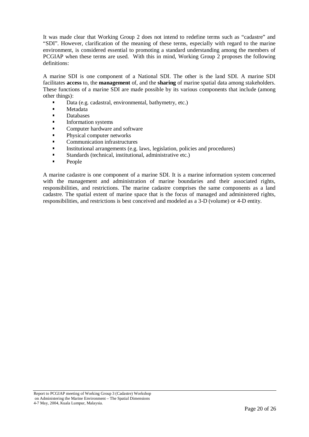It was made clear that Working Group 2 does not intend to redefine terms such as "cadastre" and "SDI". However, clarification of the meaning of these terms, especially with regard to the marine environment, is considered essential to promoting a standard understanding among the members of PCGIAP when these terms are used. With this in mind, Working Group 2 proposes the following definitions:

A marine SDI is one component of a National SDI. The other is the land SDI. A marine SDI facilitates **access** to, the **management** of, and the **sharing** of marine spatial data among stakeholders. These functions of a marine SDI are made possible by its various components that include (among other things):

- Data (e.g. cadastral, environmental, bathymetry, etc.)
- **Metadata**<br>**Metabases**
- **Databases**<br>**Information**
- Information systems
- Computer hardware and software
- Physical computer networks
- $\blacksquare$  Communication infrastructures
- Institutional arrangements (e.g. laws, legislation, policies and procedures)
- Standards (technical, institutional, administrative etc.)<br>
People
- People

A marine cadastre is one component of a marine SDI. It is a marine information system concerned with the management and administration of marine boundaries and their associated rights, responsibilities, and restrictions. The marine cadastre comprises the same components as a land cadastre. The spatial extent of marine space that is the focus of managed and administered rights, responsibilities, and restrictions is best conceived and modeled as a 3-D (volume) or 4-D entity.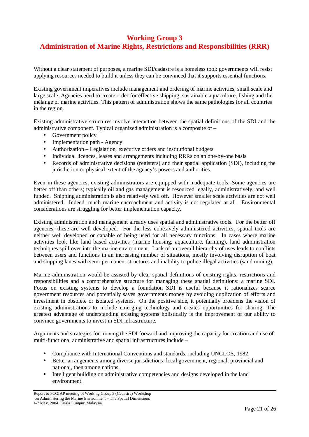## **Working Group 3 Administration of Marine Rights, Restrictions and Responsibilities (RRR)**

Without a clear statement of purposes, a marine SDI/cadastre is a homeless tool: governments will resist applying resources needed to build it unless they can be convinced that it supports essential functions.

Existing government imperatives include management and ordering of marine activities, small scale and large scale. Agencies need to create order for effective shipping, sustainable aquaculture, fishing and the mélange of marine activities. This pattern of administration shows the same pathologies for all countries in the region.

Existing administrative structures involve interaction between the spatial definitions of the SDI and the administrative component. Typical organized administration is a composite of –

- Government policy
- Implementation path Agency
- Authorization Legislation, executive orders and institutional budgets
- Individual licences, leases and arrangements including RRRs on an one-by-one basis
- Records of administrative decisions (registers) and their spatial application (SDI), including the jurisdiction or physical extent of the agency's powers and authorities.

Even in these agencies, existing administrators are equipped with inadequate tools. Some agencies are better off than others; typically oil and gas management is resourced legally, administratively, and well funded. Shipping administration is also relatively well off. However smaller scale activities are not well administered. Indeed, much marine encroachment and activity is not regulated at all. Environmental considerations are struggling for better implementation capacity.

Existing administration and management already uses spatial and administrative tools. For the better off agencies, these are well developed. For the less cohesively administered activities, spatial tools are neither well developed or capable of being used for all necessary functions. In cases where marine activities look like land based activities (marine housing, aquaculture, farming), land administration techniques spill over into the marine environment. Lack of an overall hierarchy of uses leads to conflicts between users and functions in an increasing number of situations, mostly involving disruption of boat and shipping lanes with semi-permanent structures and inability to police illegal activities (sand mining).

Marine administration would be assisted by clear spatial definitions of existing rights, restrictions and responsibilities and a comprehensive structure for managing these spatial definitions: a marine SDI. Focus on existing systems to develop a foundation SDI is useful because it rationalizes scarce government resources and potentially saves governments money by avoiding duplication of efforts and investment in obsolete or isolated systems. On the positive side, it potentially broadens the vision of existing administrations to include emerging technology and creates opportunities for sharing. The greatest advantage of understanding existing systems holistically is the improvement of our ability to convince governments to invest in SDI infrastructure.

Arguments and strategies for moving the SDI forward and improving the capacity for creation and use of multi-functional administrative and spatial infrastructures include –

- Compliance with International Conventions and standards, including UNCLOS, 1982.
- Better arrangements among diverse jurisdictions: local government, regional, provincial and national, then among nations.
- Intelligent building on administrative competencies and designs developed in the land environment.

Report to PCGIAP meeting of Working Group 3 (Cadastre) Workshop on Administering the Marine Environment – The Spatial Dimensions 4-7 May, 2004, Kuala Lumpur, Malaysia.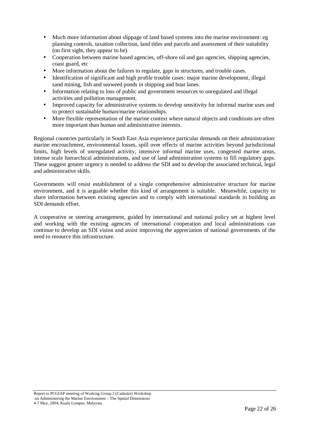- Much more information about slippage of land based systems into the marine environment: eg planning controls, taxation collection, land titles and parcels and assessment of their suitability (on first sight, they appear to be).
- Cooperation between marine based agencies, off-shore oil and gas agencies, shipping agencies, coast guard, etc
- More information about the failures to regulate, gaps in structures, and trouble cases.
- Identification of significant and high profile trouble cases: major marine development, illegal sand mining, fish and seaweed ponds in shipping and boat lanes.
- Information relating to loss of public and government resources to unregulated and illegal activities and pollution management.
- Improved capacity for administrative systems to develop sensitivity for informal marine uses and to protect sustainable human/marine relationships.
- More flexible representation of the marine context where natural objects and conditions are often more important than human and administrative interests.

Regional countries particularly in South East Asia experience particular demands on their administration: marine encroachment, environmental losses, spill over effects of marine activities beyond jurisdictional limits, high levels of unregulated activity, intensive informal marine uses, congested marine areas, intense scale hierarchical administrations, and use of land administration systems to fill regulatory gaps. These suggest greater urgency is needed to address the SDI and to develop the associated technical, legal and administrative skills.

Governments will resist establishment of a single comprehensive administrative structure for marine environment, and it is arguable whether this kind of arrangement is suitable. Meanwhile, capacity to share information between existing agencies and to comply with international standards in building an SDI demands effort.

A cooperative or steering arrangement, guided by international and national policy set at highest level and working with the existing agencies of international cooperation and local administrations can continue to develop an SDI vision and assist improving the appreciation of national governments of the need to resource this infrastructure.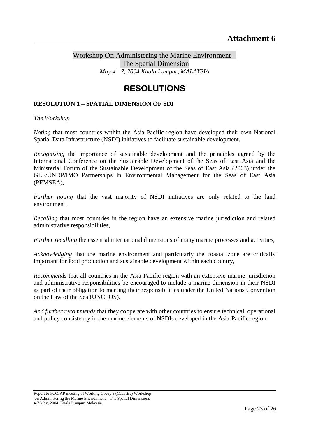## Workshop On Administering the Marine Environment – The Spatial Dimension *May 4 - 7, 2004 Kuala Lumpur, MALAYSIA*

## **RESOLUTIONS**  $R = 0$

## **RESOLUTION 1 – SPATIAL DIMENSION OF SDI**

*The Workshop* 

*Noting* that most countries within the Asia Pacific region have developed their own National Spatial Data Infrastructure (NSDI) initiatives to facilitate sustainable development,

*Recognising* the importance of sustainable development and the principles agreed by the International Conference on the Sustainable Development of the Seas of East Asia and the Ministerial Forum of the Sustainable Development of the Seas of East Asia (2003) under the GEF/UNDP/IMO Partnerships in Environmental Management for the Seas of East Asia (PEMSEA),

*Further noting* that the vast majority of NSDI initiatives are only related to the land environment,

*Recalling* that most countries in the region have an extensive marine jurisdiction and related administrative responsibilities,

*Further recalling* the essential international dimensions of many marine processes and activities,

*Acknowledging* that the marine environment and particularly the coastal zone are critically important for food production and sustainable development within each country,

*Recommends* that all countries in the Asia-Pacific region with an extensive marine jurisdiction and administrative responsibilities be encouraged to include a marine dimension in their NSDI as part of their obligation to meeting their responsibilities under the United Nations Convention on the Law of the Sea (UNCLOS).

*And further recommends* that they cooperate with other countries to ensure technical, operational and policy consistency in the marine elements of NSDIs developed in the Asia-Pacific region.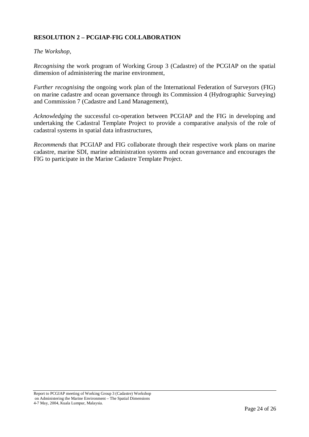## **RESOLUTION 2 – PCGIAP-FIG COLLABORATION**

## *The Workshop,*

*Recognising* the work program of Working Group 3 (Cadastre) of the PCGIAP on the spatial dimension of administering the marine environment,

*Further recognising the ongoing work plan of the International Federation of Surveyors (FIG)* on marine cadastre and ocean governance through its Commission 4 (Hydrographic Surveying) and Commission 7 (Cadastre and Land Management),

*Acknowledging* the successful co-operation between PCGIAP and the FIG in developing and undertaking the Cadastral Template Project to provide a comparative analysis of the role of cadastral systems in spatial data infrastructures,

*Recommends* that PCGIAP and FIG collaborate through their respective work plans on marine cadastre, marine SDI, marine administration systems and ocean governance and encourages the FIG to participate in the Marine Cadastre Template Project.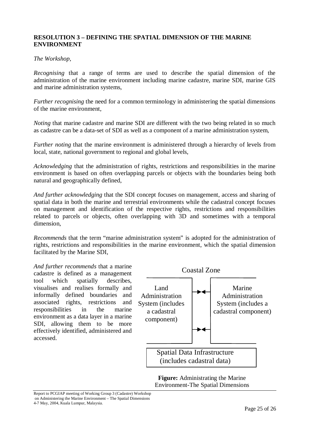## **RESOLUTION 3 – DEFINING THE SPATIAL DIMENSION OF THE MARINE ENVIRONMENT**

## *The Workshop,*

*Recognising* that a range of terms are used to describe the spatial dimension of the administration of the marine environment including marine cadastre, marine SDI, marine GIS and marine administration systems,

*Further recognising* the need for a common terminology in administering the spatial dimensions of the marine environment,

*Noting* that marine cadastre and marine SDI are different with the two being related in so much as cadastre can be a data-set of SDI as well as a component of a marine administration system,

*Further noting* that the marine environment is administered through a hierarchy of levels from local, state, national government to regional and global levels,

*Acknowledging* that the administration of rights, restrictions and responsibilities in the marine environment is based on often overlapping parcels or objects with the boundaries being both natural and geographically defined,

*And further acknowledging* that the SDI concept focuses on management, access and sharing of spatial data in both the marine and terrestrial environments while the cadastral concept focuses on management and identification of the respective rights, restrictions and responsibilities related to parcels or objects, often overlapping with 3D and sometimes with a temporal dimension,

*Recommends* that the term "marine administration system" is adopted for the administration of rights, restrictions and responsibilities in the marine environment, which the spatial dimension facilitated by the Marine SDI,

*And further recommends* that a marine cadastre is defined as a management tool which spatially describes, visualises and realises formally and informally defined boundaries and associated rights, restrictions and responsibilities in the marine environment as a data layer in a marine SDI, allowing them to be more effectively identified, administered and accessed.



**Figure:** Administrating the Marine Environment-The Spatial Dimensions

Report to PCGIAP meeting of Working Group 3 (Cadastre) Workshop on Administering the Marine Environment – The Spatial Dimensions 4-7 May, 2004, Kuala Lumpur, Malaysia.